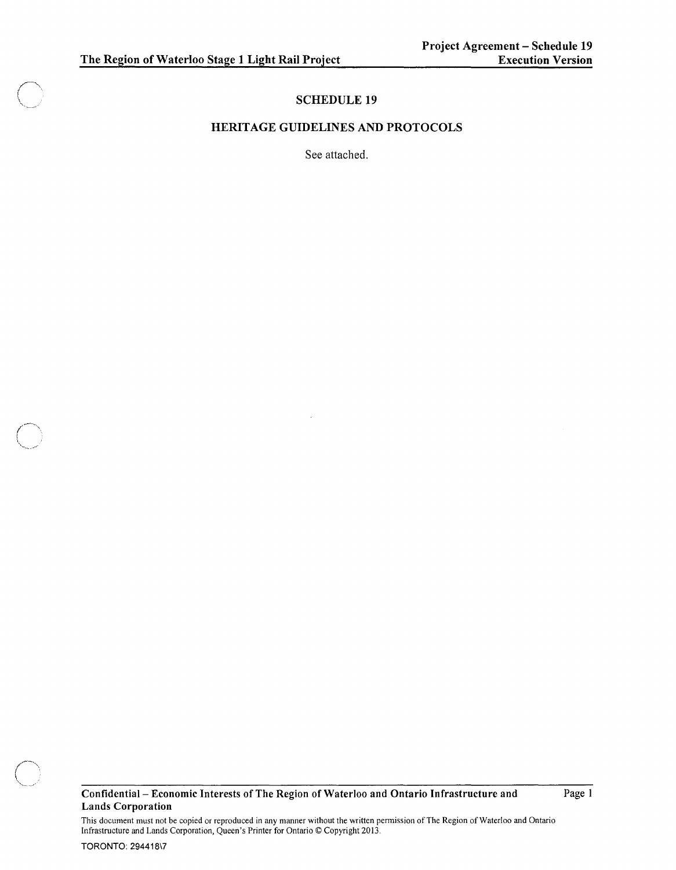# **SCHEDULE 19**

#### **HERITAGE GUIDELINES AND PROTOCOLS**

See attached.



Page I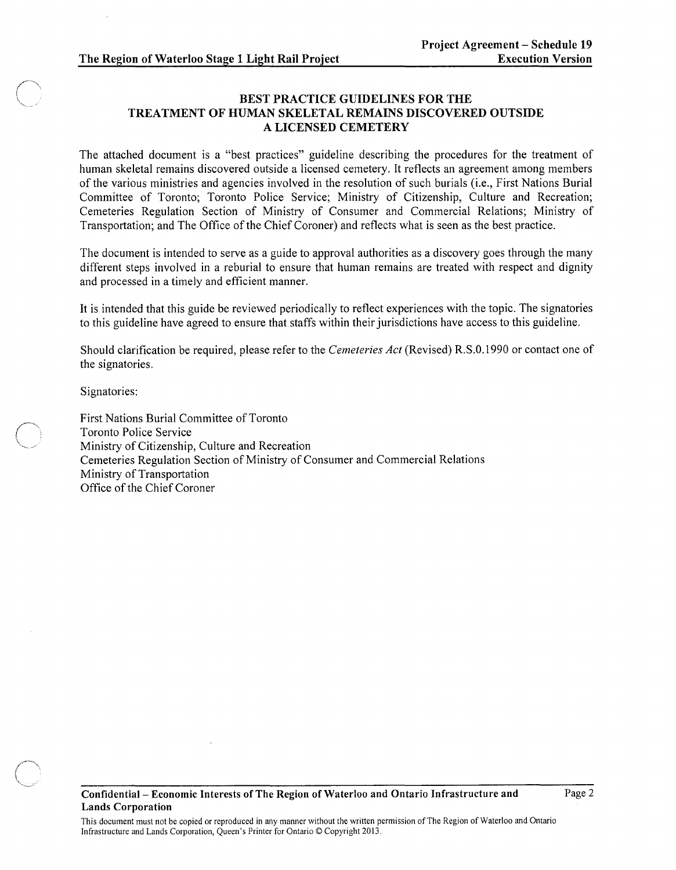# BEST PRACTICE GUIDELINES FOR THE TREATMENT OF HUMAN SKELETAL REMAINS DISCOVERED OUTSIDE A LICENSED CEMETERY

The attached document is a "best practices" guideline describing the procedures for the treatment of human skeletal remains discovered outside a licensed cemetery. It reflects an agreement among members of the various ministries and agencies involved in the resolution of such burials (i.e., First Nations Burial Committee of Toronto; Toronto Police Service; Ministry of Citizenship, Culture and Recreation; Cemeteries Regulation Section of Ministry of Consumer and Commercial Relations; Ministry of Transportation; and The Office of the Chief Coroner) and reflects what is seen as the best practice.

The document is intended to serve as a guide to approval authorities as a discovery goes through the many different steps involved in a reburial to ensure that human remains are treated with respect and dignity and processed in a timely and efficient manner.

It is intended that this guide be reviewed periodically to reflect experiences with the topic. The signatories to this guideline have agreed to ensure that staffs within their jurisdictions have access to this guideline.

Should clarification be required, please refer to the *Cemeteries Act* (Revised) R.S.O.1990 or contact one of the signatories.

Signatories:

First Nations Burial Committee of Toronto Toronto Police Service Ministry of Citizenship, Culture and Recreation Cemeteries Regulation Section of Ministry of Consumer and Commercial Relations Ministry of Transportation Office of the Chief Coroner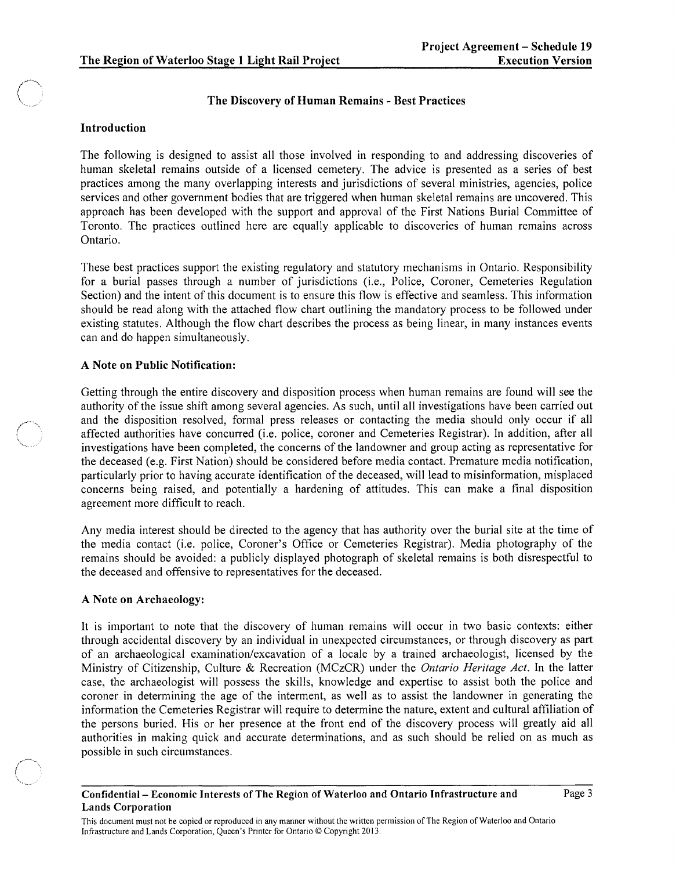#### The Discovery of Human Remains - Best Practices

### Introduction

The following is designed to assist all those involved in responding to and addressing discoveries of human skeletal remains outside of a licensed cemetery. The advice is presented as a series of best practices among the many overlapping interests and jurisdictions of several ministries, agencies, police services and other government bodies that are triggered when human skeletal remains are uncovered. This approach has been developed with the support and approval of the First Nations Burial Committee of Toronto. The practices outlined here are equally applicable to discoveries of human remains across Ontario.

These best practices support the existing regulatory and statutory mechanisms in Ontario. Responsibility for a burial passes through a number of jurisdictions (i.e., Police, Coroner, Cemeteries Regulation Section) and the intent of this document is to ensure this flow is effective and seamless. This information should be read along with the attached flow chart outlining the mandatory process to be followed under existing statutes. Although the flow chart describes the process as being linear, in many instances events can and do happen simultaneously.

# A Note on Public Notification:

Getting through the entire discovery and disposition process when human remains are found will see the authority of the issue shift among several agencies. As such, until all investigations have been carried out and the disposition resolved, formal press releases or contacting the media should only occur if all affected authorities have concurred (i.e. police, coroner and Cemeteries Registrar). In addition, after all investigations have been completed, the concerns of the landowner and group acting as representative for the deceased (e.g. First Nation) should be considered before media contact. Premature media notification, particularly prior to having accurate identification of the deceased, will lead to misinformation, misplaced concerns being raised, and potentially a hardening of attitudes. This can make a final disposition agreement more difficult to reach.

Any media interest should be directed to the agency that has authority over the burial site at the time of the media contact (i.e. police, Coroner's Office or Cemeteries Registrar). Media photography of the remains should be avoided: a publicly displayed photograph of skeletal remains is both disrespectful to the deceased and offensive to representatives for the deceased.

# A Note on Archaeology:

It is important to note that the discovery of human remains will occur in two basic contexts: either through accidental discovery by an individual in unexpected circumstances, or through discovery as part of an archaeological examination/excavation of a locale by a trained archaeologist, licensed by the Ministry of Citizenship, Culture & Recreation (MCzCR) under the *Ontario Heritage Act.* In the latter case, the archaeologist will possess the skills, knowledge and expertise to assist both the police and coroner in determining the age of the interment, as well as to assist the landowner in generating the information the Cemeteries Registrar will require to determine the nature, extent and cultural affiliation of the persons buried. His or her presence at the front end of the discovery process will greatly aid all authorities in making quick and accurate determinations, and as such should be relied on as much as possible in such circumstances.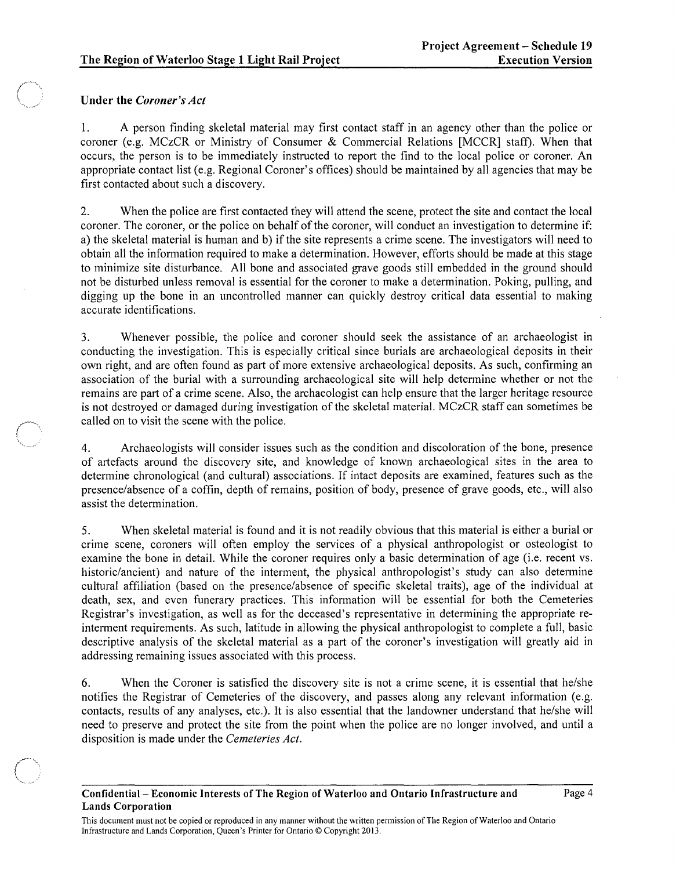### Under the *Coroner's Act*

1. A person finding skeletal material may first contact staff in an agency other than the police or coroner (e.g. MCzCR or Ministry of Consumer & Commercial Relations [MCCR] staff). When that occurs, the person is to be immediately instructed to report the find to the local police or coroner. An appropriate contact list (e.g. Regional Coroner's offices) should be maintained by all agencies that may be first contacted about such a discovery.

2. When the police are first contacted they will attend the scene, protect the site and contact the local coroner. The coroner, or the police on behalf of the coroner, will conduct an investigation to determine if: a) the skeletal material is human and b) if the site represents a crime scene. The investigators will need to obtain all the information required to make a determination. However, efforts should be made at this stage to minimize site disturbance. All bone and associated grave goods still embedded in the ground should not be disturbed unless removal is essential for the coroner to make a determination. Poking, pulling, and digging up the bone in an uncontrolled manner can quickly destroy critical data essential to making accurate identifications.

3. Whenever possible, the police and coroner should seek the assistance of an archaeologist in conducting the investigation. This is especially critical since burials are archaeological deposits in their own right, and are often found as part of more extensive archaeological deposits. As such, confirming an association of the burial with a surrounding archaeological site will help determine whether or not the remains are part of a crime scene. Also, the archaeologist can help ensure that the larger heritage resource is not destroyed or damaged during investigation of the skeletal material. MCzCR staff can sometimes be called on to visit the scene with the police.

4. Archaeologists will consider issues such as the condition and discoloration of the bone, presence of artefacts around the discovery site, and knowledge of known archaeological sites in the area to determine chronological (and cultural) associations. If intact deposits are examined, features such as the presence/absence of a coffin, depth of remains, position of body, presence of grave goods, etc., will also assist the determination.

5. When skeletal material is found and it is not readily obvious that this material is either a burial or crime scene, coroners will often employ the services of a physical anthropologist or osteologist to examine the bone in detail. While the coroner requires only a basic determination of age (i.e. recent vs. historic/ancient) and nature of the interment, the physical anthropologist's study can also determine cultural affiliation (based on the presence/absence of specific skeletal traits), age of the individual at death, sex, and even funerary practices. This information will be essential for both the Cemeteries Registrar's investigation, as well as for the deceased's representative in determining the appropriate reinterment requirements. As such, latitude in allowing the physical anthropologist to complete a full, basic descriptive analysis of the skeletal material as a part of the coroner's investigation will greatly aid in addressing remaining issues associated with this process.

6. When the Coroner is satisfied the discovery site is not a crime scene, it is essential that he/she notifies the Registrar of Cemeteries of the discovery, and passes along any relevant information (e.g. contacts, results of any analyses, etc.). It is also essential that the landowner understand that he/she will need to preserve and protect the site from the point when the police are no longer involved, and until a disposition is made under the *Cemeteries Act.*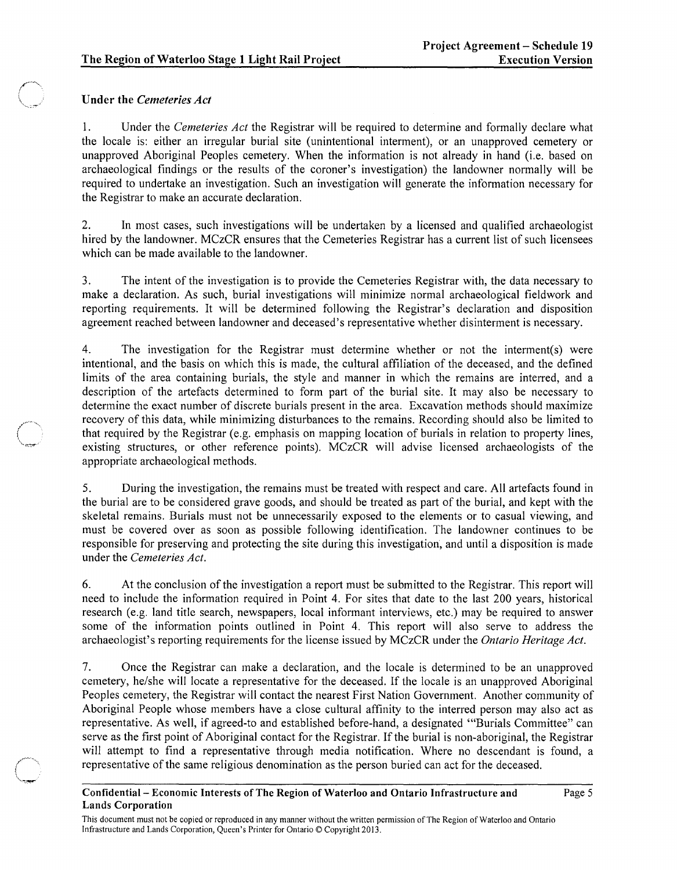# \~,-,.~ Under the *Cemeteries Act*

 $\mathcal{L} \subset \mathbb{R}^n$ 

"-..~

1. Under the *Cemeteries Act* the Registrar will be required to determine and formally declare what the locale is: either an irregular burial site (unintentional interment), or an unapproved cemetery or unapproved Aboriginal Peoples cemetery. When the information is not already in hand (i.e. based on archaeological findings or the results of the coroner's investigation) the landowner normally will be required to undertake an investigation. Such an investigation will generate the information necessary for the Registrar to make an accurate declaration.

2. In most cases, such investigations will be undertaken by a licensed and qualified archaeologist hired by the landowner. MCzCR ensures that the Cemeteries Registrar has a current list of such licensees which can be made available to the landowner.

3. The intent of the investigation is to provide the Cemeteries Registrar with, the data necessary to make a declaration. As such, burial investigations will minimize normal archaeological fieldwork and reporting requirements. It will be determined following the Registrar's declaration and disposition agreement reached between landowner and deceased's representative whether disinterment is necessary.

4. The investigation for the Registrar must determine whether or not the interment(s) were intentional, and the basis on which this is made, the cultural affiliation of the deceased, and the defined limits of the area containing burials, the style and manner in which the remains are interred, and a description of the artefacts determined to form part of the burial site. It may also be necessary to determine the exact number of discrete burials present in the area. Excavation methods should maximize recovery of this data, while minimizing disturbances to the remains. Recording should also be limited to that required by the Registrar (e.g. emphasis on mapping location of burials in relation to property lines, existing structures, or other reference points). MCzCR will advise licensed archaeologists of the appropriate archaeological methods.

5. During the investigation, the remains must be treated with respect and care. All artefacts found in the burial are to be considered grave goods, and should be treated as part of the burial, and kept with the skeletal remains. Burials must not be unnecessarily exposed to the elements or to casual viewing, and must be covered over as soon as possible following identification. The landowner continues to be responsible for preserving and protecting the site during this investigation, and until a disposition is made under the *Cemeteries Act.* 

6. At the conclusion of the investigation a report must be submitted to the Registrar. This report will need to include the information required in Point 4. For sites that date to the last 200 years, historical research (e.g. land title search, newspapers, local informant interviews, etc.) may be required to answer some of the information points outlined in Point 4. This report wilI also serve to address the archaeologist's reporting requirements for the license issued by MCzCR under the *Ontario Heritage Act.* 

7. Once the Registrar can make a declaration, and the locale is determined to be an unapproved cemetery, he/she wilI locate a representative for the deceased. If the locale is an unapproved Aboriginal Peoples cemetery, the Registrar will contact the nearest First Nation Government. Another community of Aboriginal People whose members have a close cultural affinity to the interred person may also act as representative. As well, if agreed-to and established before-hand, a designated '''Burials Committee" can serve as the first point of Aboriginal contact for the Registrar. If the burial is non-aboriginal, the Registrar will attempt to find a representative through media notification. Where no descendant is found, a representative of the same religious denomination as the person buried can act for the deceased.